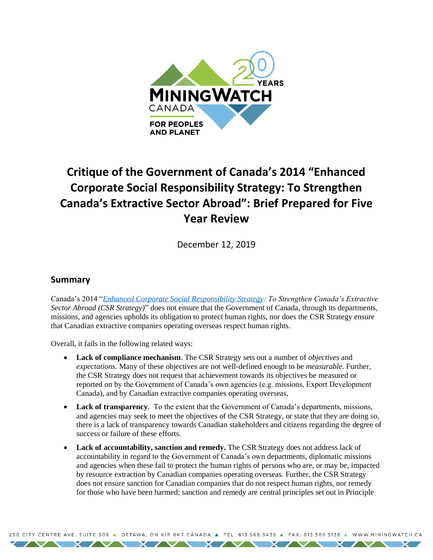

# **Critique of the Government of Canada's 2014 "Enhanced Corporate Social Responsibility Strategy: To Strengthen Canada's Extractive Sector Abroad": Brief Prepared for Five Year Review**

December 12, 2019

### **Summary**

Canada's 2014 "*[Enhanced Corporate Social Responsibility Strategy:](https://www.international.gc.ca/trade-agreements-accords-commerciaux/topics-domaines/other-autre/csr-strat-rse.aspx?lang=eng) To Strengthen Canada's Extractive Sector Abroad (CSR Strategy)*" does not ensure that the Government of Canada, through its departments, missions, and agencies upholds its obligation to protect human rights, nor does the CSR Strategy ensure that Canadian extractive companies operating overseas respect human rights.

Overall, it fails in the following related ways:

- **Lack of compliance mechanism**. The CSR Strategy sets out a number of *objectives* and *expectations.* Many of these objectives are not well-defined enough to be *measurable.* Further, the CSR Strategy does not request that achievement towards its objectives be measured or reported on by the Government of Canada's own agencies (e.g. missions, Export Development Canada), and by Canadian extractive companies operating overseas,
- **Lack of transparency**. To the extent that the Government of Canada's departments, missions, and agencies may seek to meet the objectives of the CSR Strategy, or state that they are doing so, there is a lack of transparency towards Canadian stakeholders and citizens regarding the degree of success or failure of these efforts.
- Lack of accountability, sanction and remedy. The CSR Strategy does not address lack of accountability in regard to the Government of Canada's own departments, diplomatic missions and agencies when these fail to protect the human rights of persons who are, or may be, impacted by resource extraction by Canadian companies operating overseas. Further, the CSR Strategy does not ensure sanction for Canadian companies that do not respect human rights, nor remedy for those who have been harmed; sanction and remedy are central principles set out in Principle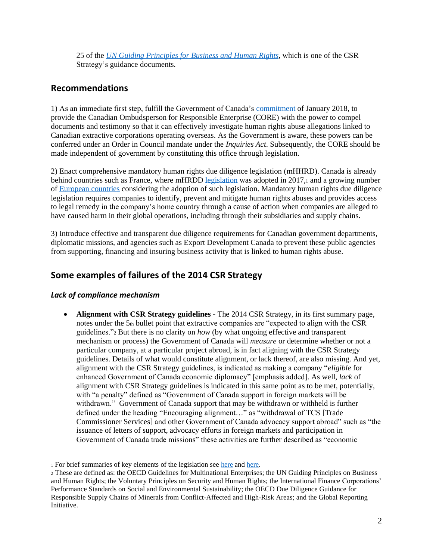25 of the *[UN Guiding Principles for Business and Human Rights](https://www.ohchr.org/Documents/Publications/GuidingPrinciplesBusinessHR_EN.pdf)*, which is one of the CSR Strategy's guidance documents.

## **Recommendations**

1) As an immediate first step, fulfill the Government of Canada's [commitment](https://www.international.gc.ca/trade-agreements-accords-commerciaux/topics-domaines/other-autre/faq.aspx?lang=eng) of January 2018, to provide the Canadian Ombudsperson for Responsible Enterprise (CORE) with the power to compel documents and testimony so that it can effectively investigate human rights abuse allegations linked to Canadian extractive corporations operating overseas. As the Government is aware, these powers can be conferred under an Order in Council mandate under the *Inquiries Act*. Subsequently, the CORE should be made independent of government by constituting this office through legislation.

2) Enact comprehensive mandatory human rights due diligence legislation (mHHRD). Canada is already behind countries such as France, where mHRDD [legislation](https://www.legifrance.gouv.fr/affichTexte.do?cidTexte=JORFTEXT000034290626&categorieLien=id) was adopted in 2017, and a growing number of [European countries](https://www.business-humanrights.org/en/national-movements-for-mandatory-human-rights-due-diligence-in-european-countries) considering the adoption of such legislation. Mandatory human rights due diligence legislation requires companies to identify, prevent and mitigate human rights abuses and provides access to legal remedy in the company's home country through a cause of action when companies are alleged to have caused harm in their global operations, including through their subsidiaries and supply chains.

3) Introduce effective and transparent due diligence requirements for Canadian government departments, diplomatic missions, and agencies such as Export Development Canada to prevent these public agencies from supporting, financing and insuring business activity that is linked to human rights abuse.

## **Some examples of failures of the 2014 CSR Strategy**

#### *Lack of compliance mechanism*

• **Alignment with CSR Strategy guidelines** - The 2014 CSR Strategy, in its first summary page, notes under the  $5<sub>th</sub>$  bullet point that extractive companies are "expected to align with the CSR guidelines."<sup>2</sup> But there is no clarity on *how* (by what ongoing effective and transparent mechanism or process) the Government of Canada will *measure* or determine whether or not a particular company, at a particular project abroad, is in fact aligning with the CSR Strategy guidelines. Details of what would constitute alignment, or lack thereof, are also missing. And yet, alignment with the CSR Strategy guidelines, is indicated as making a company "*eligible* for enhanced Government of Canada economic diplomacy" [emphasis added]. As well, *lack* of alignment with CSR Strategy guidelines is indicated in this same point as to be met, potentially, with "a penalty" defined as "Government of Canada support in foreign markets will be withdrawn." Government of Canada support that may be withdrawn or withheld is further defined under the heading "Encouraging alignment…" as "withdrawal of TCS [Trade Commissioner Services] and other Government of Canada advocacy support abroad" such as "the issuance of letters of support, advocacy efforts in foreign markets and participation in Government of Canada trade missions" these activities are further described as "economic

<sup>1</sup> For brief summaries of key elements of the legislation see [here](https://www.csrandthelaw.com/2017/08/03/the-french-duty-of-vigilance-law-what-you-need-to-know/) and [here.](http://corporatejustice.org/documents/publications/french-corporate-duty-of-vigilance-law-faq.pdf)

<sup>2</sup> These are defined as: the OECD Guidelines for Multinational Enterprises; the UN Guiding Principles on Business and Human Rights; the Voluntary Principles on Security and Human Rights; the International Finance Corporations' Performance Standards on Social and Environmental Sustainability; the OECD Due Diligence Guidance for Responsible Supply Chains of Minerals from Conflict-Affected and High-Risk Areas; and the Global Reporting Initiative.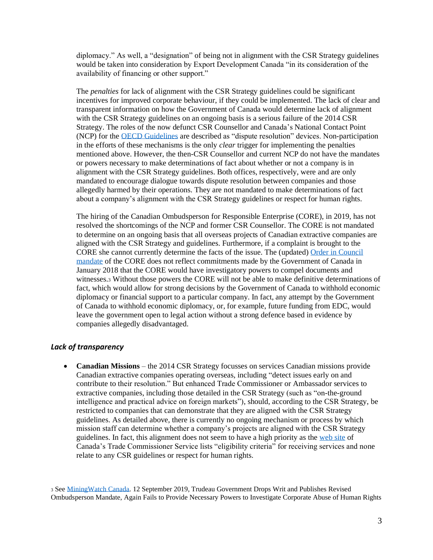diplomacy." As well, a "designation" of being not in alignment with the CSR Strategy guidelines would be taken into consideration by Export Development Canada "in its consideration of the availability of financing or other support."

The *penalties* for lack of alignment with the CSR Strategy guidelines could be significant incentives for improved corporate behaviour, if they could be implemented. The lack of clear and transparent information on how the Government of Canada would determine lack of alignment with the CSR Strategy guidelines on an ongoing basis is a serious failure of the 2014 CSR Strategy. The roles of the now defunct CSR Counsellor and Canada's National Contact Point (NCP) for the [OECD Guidelines](https://www.google.com/search?q=oecd+guidelines+for+multinational+enterprises&rlz=1C1CAFB_enCA657CA657&tbm=isch&source=iu&ictx=1&fir=wBl2TaWmALsSSM%253A%252CDiFaUpzAZBytrM%252C_&vet=1&usg=AI4_-kS1fzPHiDN8-XbbT2pPvdk0xO5wgw&sa=X&ved=2ahUKEwiM4IyaiLHmAhURGc0KHUsjBFkQ9QEwAXoECAcQAw#imgrc=wBl2TaWmALsSSM:) are described as "dispute resolution" devices. Non-participation in the efforts of these mechanisms is the only *clear* trigger for implementing the penalties mentioned above. However, the then-CSR Counsellor and current NCP do not have the mandates or powers necessary to make determinations of fact about whether or not a company is in alignment with the CSR Strategy guidelines. Both offices, respectively, were and are only mandated to encourage dialogue towards dispute resolution between companies and those allegedly harmed by their operations. They are not mandated to make determinations of fact about a company's alignment with the CSR Strategy guidelines or respect for human rights.

The hiring of the Canadian Ombudsperson for Responsible Enterprise (CORE), in 2019, has not resolved the shortcomings of the NCP and former CSR Counsellor. The CORE is not mandated to determine on an ongoing basis that all overseas projects of Canadian extractive companies are aligned with the CSR Strategy and guidelines. Furthermore, if a complaint is brought to the CORE she cannot currently determine the facts of the issue. The (updated) [Order in Council](https://orders-in-council.canada.ca/attachment.php?attach=38652&lang=en)  [mandate](https://orders-in-council.canada.ca/attachment.php?attach=38652&lang=en) of the CORE does not reflect commitments made by the Government of Canada in January 2018 that the CORE would have investigatory powers to compel documents and witnesses.<sup>3</sup> Without those powers the CORE will not be able to make definitive determinations of fact, which would allow for strong decisions by the Government of Canada to withhold economic diplomacy or financial support to a particular company. In fact, any attempt by the Government of Canada to withhold economic diplomacy, or, for example, future funding from EDC, would leave the government open to legal action without a strong defence based in evidence by companies allegedly disadvantaged.

#### *Lack of transparency*

• **Canadian Missions** – the 2014 CSR Strategy focusses on services Canadian missions provide Canadian extractive companies operating overseas, including "detect issues early on and contribute to their resolution." But enhanced Trade Commissioner or Ambassador services to extractive companies, including those detailed in the CSR Strategy (such as "on-the-ground intelligence and practical advice on foreign markets"), should, according to the CSR Strategy, be restricted to companies that can demonstrate that they are aligned with the CSR Strategy guidelines. As detailed above, there is currently no ongoing mechanism or process by which mission staff can determine whether a company's projects are aligned with the CSR Strategy guidelines. In fact, this alignment does not seem to have a high priority as th[e web site](https://www.tradecommissioner.gc.ca/about-a_propos/services.aspx?lang=eng) of Canada's Trade Commissioner Service lists "eligibility criteria" for receiving services and none relate to any CSR guidelines or respect for human rights.

<sup>3</sup> Se[e MiningWatch Canada.](https://miningwatch.ca/news/2019/9/12/trudeau-government-drops-writ-and-publishes-revised-ombudsperson-mandate-again-fails) 12 September 2019, Trudeau Government Drops Writ and Publishes Revised Ombudsperson Mandate, Again Fails to Provide Necessary Powers to Investigate Corporate Abuse of Human Rights